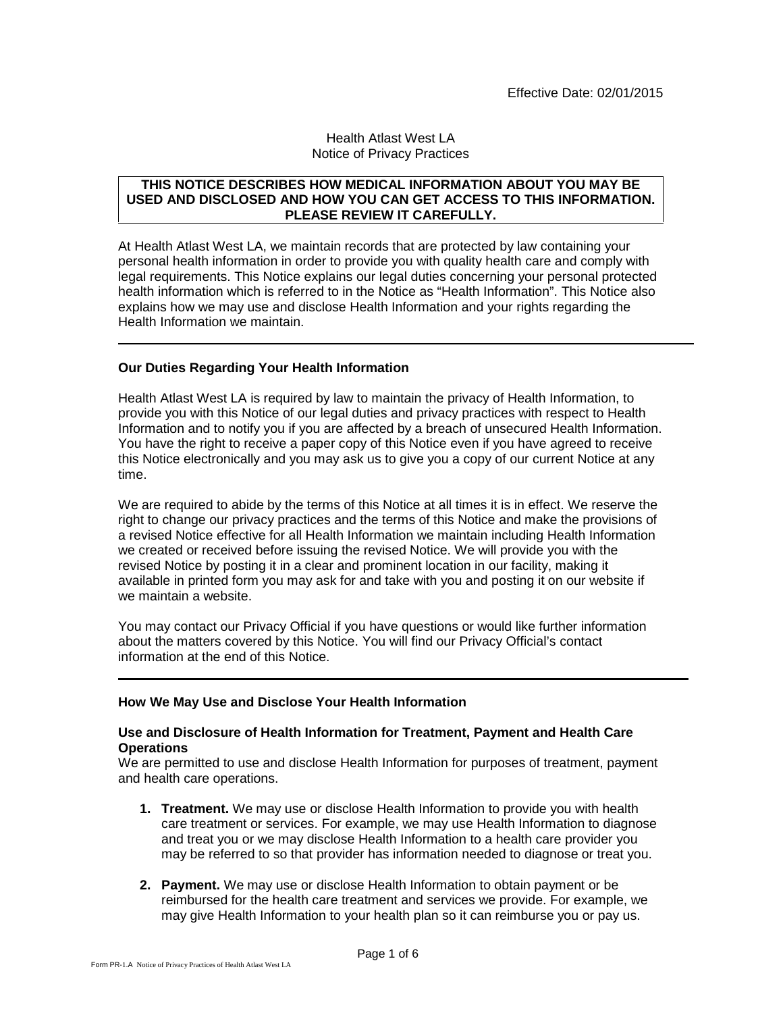### Health Atlast West LA Notice of Privacy Practices

### **THIS NOTICE DESCRIBES HOW MEDICAL INFORMATION ABOUT YOU MAY BE USED AND DISCLOSED AND HOW YOU CAN GET ACCESS TO THIS INFORMATION. PLEASE REVIEW IT CAREFULLY.**

At Health Atlast West LA, we maintain records that are protected by law containing your personal health information in order to provide you with quality health care and comply with legal requirements. This Notice explains our legal duties concerning your personal protected health information which is referred to in the Notice as "Health Information". This Notice also explains how we may use and disclose Health Information and your rights regarding the Health Information we maintain.

# **Our Duties Regarding Your Health Information**

Health Atlast West LA is required by law to maintain the privacy of Health Information, to provide you with this Notice of our legal duties and privacy practices with respect to Health Information and to notify you if you are affected by a breach of unsecured Health Information. You have the right to receive a paper copy of this Notice even if you have agreed to receive this Notice electronically and you may ask us to give you a copy of our current Notice at any time.

We are required to abide by the terms of this Notice at all times it is in effect. We reserve the right to change our privacy practices and the terms of this Notice and make the provisions of a revised Notice effective for all Health Information we maintain including Health Information we created or received before issuing the revised Notice. We will provide you with the revised Notice by posting it in a clear and prominent location in our facility, making it available in printed form you may ask for and take with you and posting it on our website if we maintain a website.

You may contact our Privacy Official if you have questions or would like further information about the matters covered by this Notice. You will find our Privacy Official's contact information at the end of this Notice.

# **How We May Use and Disclose Your Health Information**

### **Use and Disclosure of Health Information for Treatment, Payment and Health Care Operations**

We are permitted to use and disclose Health Information for purposes of treatment, payment and health care operations.

- **1. Treatment.** We may use or disclose Health Information to provide you with health care treatment or services. For example, we may use Health Information to diagnose and treat you or we may disclose Health Information to a health care provider you may be referred to so that provider has information needed to diagnose or treat you.
- **2. Payment.** We may use or disclose Health Information to obtain payment or be reimbursed for the health care treatment and services we provide. For example, we may give Health Information to your health plan so it can reimburse you or pay us.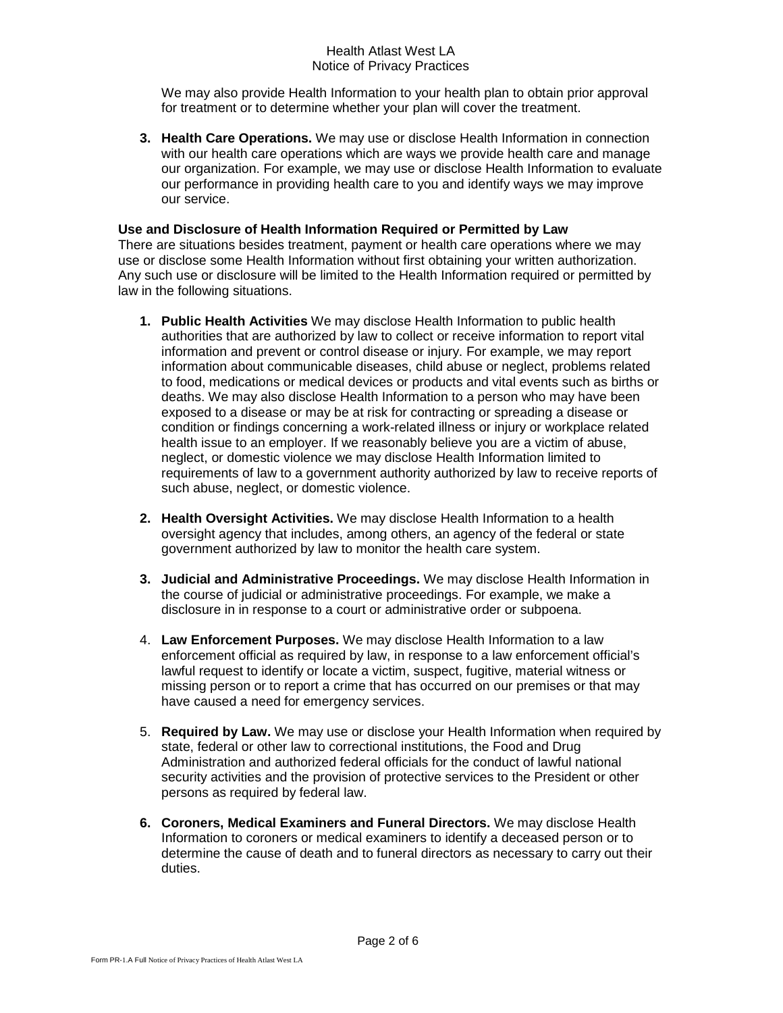## Health Atlast West LA Notice of Privacy Practices

We may also provide Health Information to your health plan to obtain prior approval for treatment or to determine whether your plan will cover the treatment.

**3. Health Care Operations.** We may use or disclose Health Information in connection with our health care operations which are ways we provide health care and manage our organization. For example, we may use or disclose Health Information to evaluate our performance in providing health care to you and identify ways we may improve our service.

### **Use and Disclosure of Health Information Required or Permitted by Law**

There are situations besides treatment, payment or health care operations where we may use or disclose some Health Information without first obtaining your written authorization. Any such use or disclosure will be limited to the Health Information required or permitted by law in the following situations.

- **1. Public Health Activities** We may disclose Health Information to public health authorities that are authorized by law to collect or receive information to report vital information and prevent or control disease or injury. For example, we may report information about communicable diseases, child abuse or neglect, problems related to food, medications or medical devices or products and vital events such as births or deaths. We may also disclose Health Information to a person who may have been exposed to a disease or may be at risk for contracting or spreading a disease or condition or findings concerning a work-related illness or injury or workplace related health issue to an employer. If we reasonably believe you are a victim of abuse, neglect, or domestic violence we may disclose Health Information limited to requirements of law to a government authority authorized by law to receive reports of such abuse, neglect, or domestic violence.
- **2. Health Oversight Activities.** We may disclose Health Information to a health oversight agency that includes, among others, an agency of the federal or state government authorized by law to monitor the health care system.
- **3. Judicial and Administrative Proceedings.** We may disclose Health Information in the course of judicial or administrative proceedings. For example, we make a disclosure in in response to a court or administrative order or subpoena.
- 4. **Law Enforcement Purposes.** We may disclose Health Information to a law enforcement official as required by law, in response to a law enforcement official's lawful request to identify or locate a victim, suspect, fugitive, material witness or missing person or to report a crime that has occurred on our premises or that may have caused a need for emergency services.
- 5. **Required by Law.** We may use or disclose your Health Information when required by state, federal or other law to correctional institutions, the Food and Drug Administration and authorized federal officials for the conduct of lawful national security activities and the provision of protective services to the President or other persons as required by federal law.
- **6. Coroners, Medical Examiners and Funeral Directors.** We may disclose Health Information to coroners or medical examiners to identify a deceased person or to determine the cause of death and to funeral directors as necessary to carry out their duties.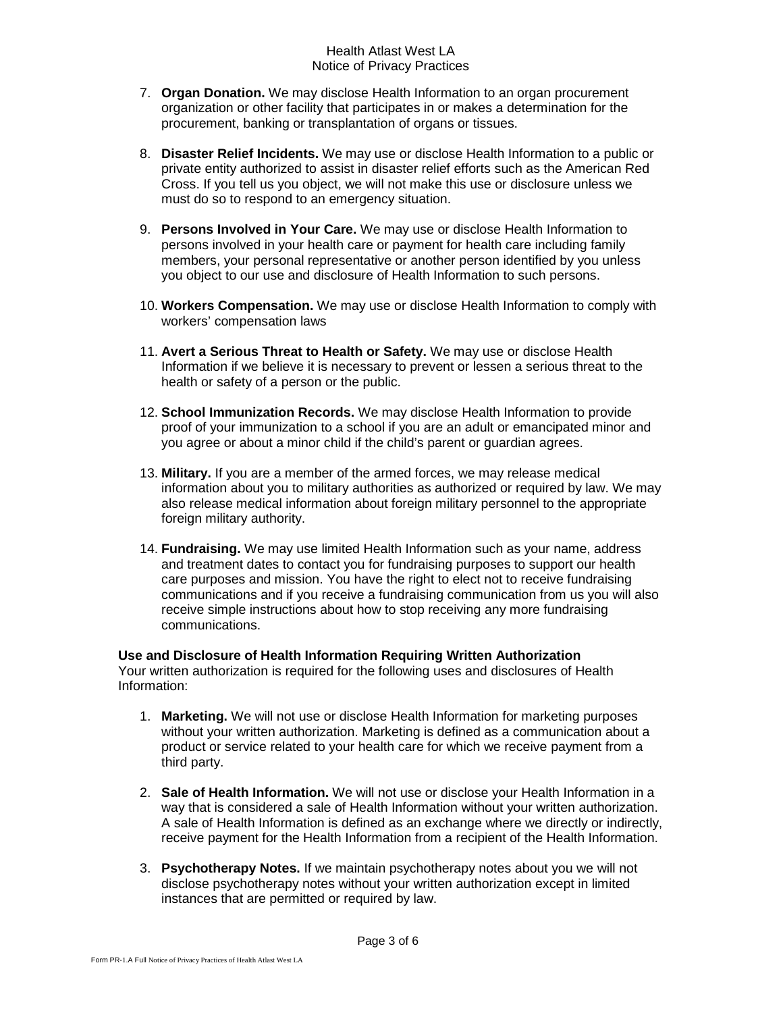## Health Atlast West LA Notice of Privacy Practices

- 7. **Organ Donation.** We may disclose Health Information to an organ procurement organization or other facility that participates in or makes a determination for the procurement, banking or transplantation of organs or tissues.
- 8. **Disaster Relief Incidents.** We may use or disclose Health Information to a public or private entity authorized to assist in disaster relief efforts such as the American Red Cross. If you tell us you object, we will not make this use or disclosure unless we must do so to respond to an emergency situation.
- 9. **Persons Involved in Your Care.** We may use or disclose Health Information to persons involved in your health care or payment for health care including family members, your personal representative or another person identified by you unless you object to our use and disclosure of Health Information to such persons.
- 10. **Workers Compensation.** We may use or disclose Health Information to comply with workers' compensation laws
- 11. **Avert a Serious Threat to Health or Safety.** We may use or disclose Health Information if we believe it is necessary to prevent or lessen a serious threat to the health or safety of a person or the public.
- 12. **School Immunization Records.** We may disclose Health Information to provide proof of your immunization to a school if you are an adult or emancipated minor and you agree or about a minor child if the child's parent or guardian agrees.
- 13. **Military.** If you are a member of the armed forces, we may release medical information about you to military authorities as authorized or required by law. We may also release medical information about foreign military personnel to the appropriate foreign military authority.
- 14. **Fundraising.** We may use limited Health Information such as your name, address and treatment dates to contact you for fundraising purposes to support our health care purposes and mission. You have the right to elect not to receive fundraising communications and if you receive a fundraising communication from us you will also receive simple instructions about how to stop receiving any more fundraising communications.

# **Use and Disclosure of Health Information Requiring Written Authorization**

Your written authorization is required for the following uses and disclosures of Health Information:

- 1. **Marketing.** We will not use or disclose Health Information for marketing purposes without your written authorization. Marketing is defined as a communication about a product or service related to your health care for which we receive payment from a third party.
- 2. **Sale of Health Information.** We will not use or disclose your Health Information in a way that is considered a sale of Health Information without your written authorization. A sale of Health Information is defined as an exchange where we directly or indirectly, receive payment for the Health Information from a recipient of the Health Information.
- 3. **Psychotherapy Notes.** If we maintain psychotherapy notes about you we will not disclose psychotherapy notes without your written authorization except in limited instances that are permitted or required by law.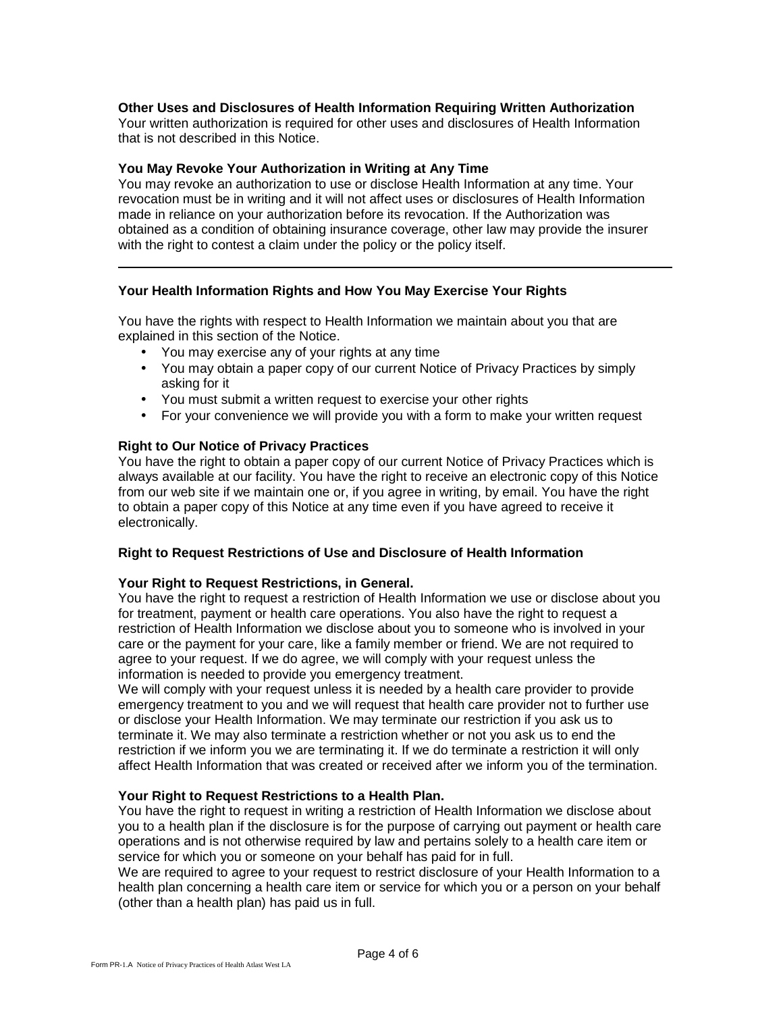### **Other Uses and Disclosures of Health Information Requiring Written Authorization**

Your written authorization is required for other uses and disclosures of Health Information that is not described in this Notice.

#### **You May Revoke Your Authorization in Writing at Any Time**

You may revoke an authorization to use or disclose Health Information at any time. Your revocation must be in writing and it will not affect uses or disclosures of Health Information made in reliance on your authorization before its revocation. If the Authorization was obtained as a condition of obtaining insurance coverage, other law may provide the insurer with the right to contest a claim under the policy or the policy itself.

### **Your Health Information Rights and How You May Exercise Your Rights**

You have the rights with respect to Health Information we maintain about you that are explained in this section of the Notice.

- You may exercise any of your rights at any time
- You may obtain a paper copy of our current Notice of Privacy Practices by simply asking for it
- You must submit a written request to exercise your other rights
- For your convenience we will provide you with a form to make your written request

### **Right to Our Notice of Privacy Practices**

You have the right to obtain a paper copy of our current Notice of Privacy Practices which is always available at our facility. You have the right to receive an electronic copy of this Notice from our web site if we maintain one or, if you agree in writing, by email. You have the right to obtain a paper copy of this Notice at any time even if you have agreed to receive it electronically.

### **Right to Request Restrictions of Use and Disclosure of Health Information**

### **Your Right to Request Restrictions, in General.**

You have the right to request a restriction of Health Information we use or disclose about you for treatment, payment or health care operations. You also have the right to request a restriction of Health Information we disclose about you to someone who is involved in your care or the payment for your care, like a family member or friend. We are not required to agree to your request. If we do agree, we will comply with your request unless the information is needed to provide you emergency treatment.

We will comply with your request unless it is needed by a health care provider to provide emergency treatment to you and we will request that health care provider not to further use or disclose your Health Information. We may terminate our restriction if you ask us to terminate it. We may also terminate a restriction whether or not you ask us to end the restriction if we inform you we are terminating it. If we do terminate a restriction it will only affect Health Information that was created or received after we inform you of the termination.

### **Your Right to Request Restrictions to a Health Plan.**

You have the right to request in writing a restriction of Health Information we disclose about you to a health plan if the disclosure is for the purpose of carrying out payment or health care operations and is not otherwise required by law and pertains solely to a health care item or service for which you or someone on your behalf has paid for in full.

We are required to agree to your request to restrict disclosure of your Health Information to a health plan concerning a health care item or service for which you or a person on your behalf (other than a health plan) has paid us in full.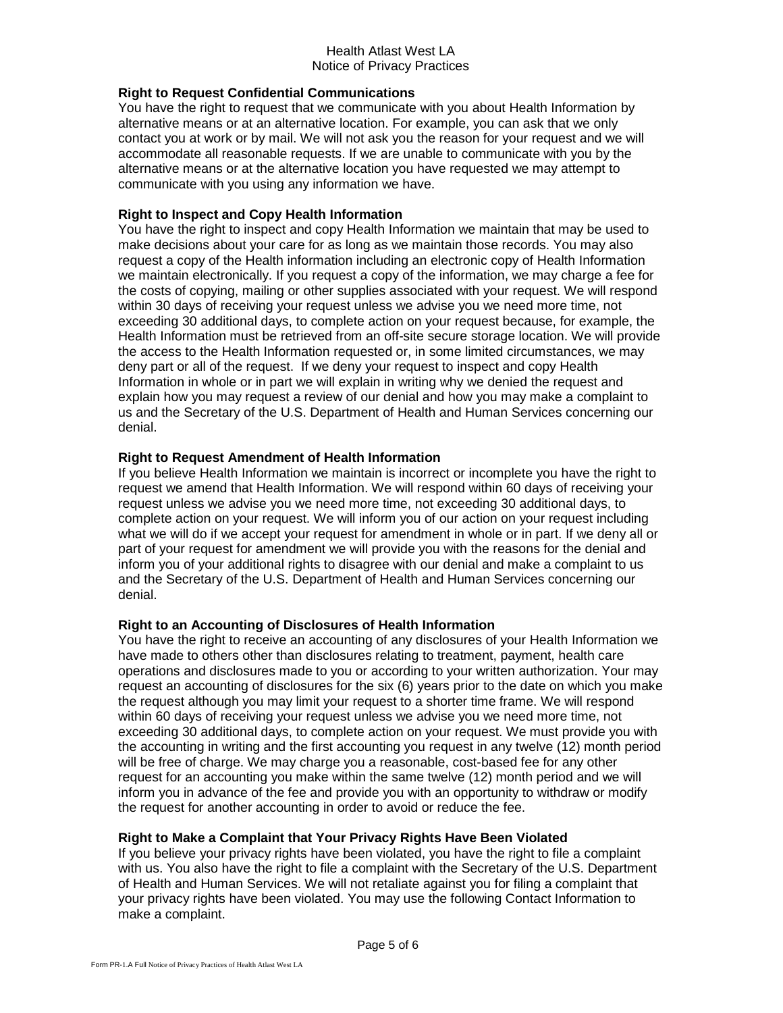## **Right to Request Confidential Communications**

You have the right to request that we communicate with you about Health Information by alternative means or at an alternative location. For example, you can ask that we only contact you at work or by mail. We will not ask you the reason for your request and we will accommodate all reasonable requests. If we are unable to communicate with you by the alternative means or at the alternative location you have requested we may attempt to communicate with you using any information we have.

## **Right to Inspect and Copy Health Information**

You have the right to inspect and copy Health Information we maintain that may be used to make decisions about your care for as long as we maintain those records. You may also request a copy of the Health information including an electronic copy of Health Information we maintain electronically. If you request a copy of the information, we may charge a fee for the costs of copying, mailing or other supplies associated with your request. We will respond within 30 days of receiving your request unless we advise you we need more time, not exceeding 30 additional days, to complete action on your request because, for example, the Health Information must be retrieved from an off-site secure storage location. We will provide the access to the Health Information requested or, in some limited circumstances, we may deny part or all of the request. If we deny your request to inspect and copy Health Information in whole or in part we will explain in writing why we denied the request and explain how you may request a review of our denial and how you may make a complaint to us and the Secretary of the U.S. Department of Health and Human Services concerning our denial.

# **Right to Request Amendment of Health Information**

If you believe Health Information we maintain is incorrect or incomplete you have the right to request we amend that Health Information. We will respond within 60 days of receiving your request unless we advise you we need more time, not exceeding 30 additional days, to complete action on your request. We will inform you of our action on your request including what we will do if we accept your request for amendment in whole or in part. If we deny all or part of your request for amendment we will provide you with the reasons for the denial and inform you of your additional rights to disagree with our denial and make a complaint to us and the Secretary of the U.S. Department of Health and Human Services concerning our denial.

### **Right to an Accounting of Disclosures of Health Information**

You have the right to receive an accounting of any disclosures of your Health Information we have made to others other than disclosures relating to treatment, payment, health care operations and disclosures made to you or according to your written authorization. Your may request an accounting of disclosures for the six (6) years prior to the date on which you make the request although you may limit your request to a shorter time frame. We will respond within 60 days of receiving your request unless we advise you we need more time, not exceeding 30 additional days, to complete action on your request. We must provide you with the accounting in writing and the first accounting you request in any twelve (12) month period will be free of charge. We may charge you a reasonable, cost-based fee for any other request for an accounting you make within the same twelve (12) month period and we will inform you in advance of the fee and provide you with an opportunity to withdraw or modify the request for another accounting in order to avoid or reduce the fee.

# **Right to Make a Complaint that Your Privacy Rights Have Been Violated**

If you believe your privacy rights have been violated, you have the right to file a complaint with us. You also have the right to file a complaint with the Secretary of the U.S. Department of Health and Human Services. We will not retaliate against you for filing a complaint that your privacy rights have been violated. You may use the following Contact Information to make a complaint.